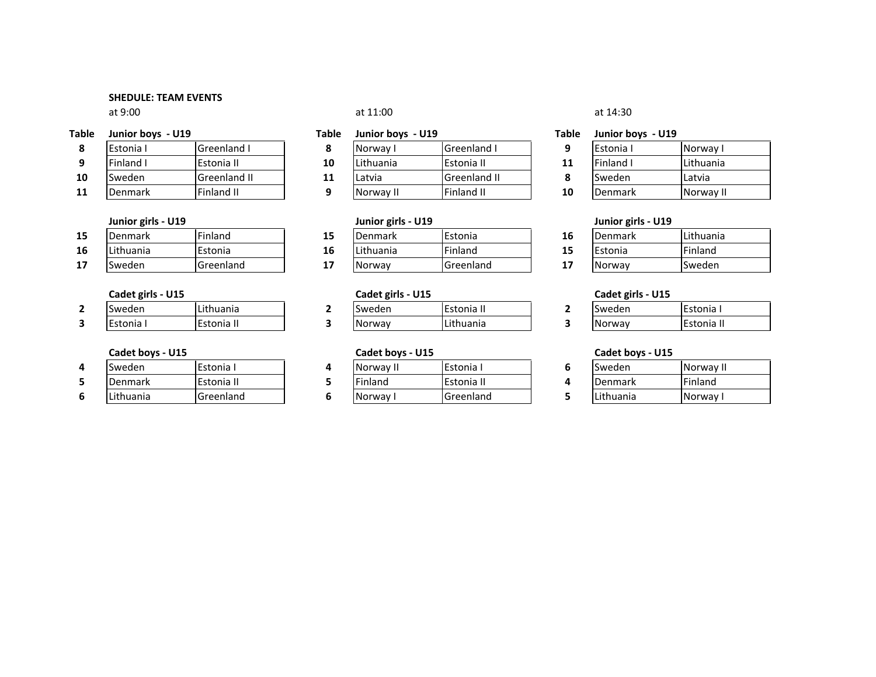## SHEDULE: TEAM EVENTS

at 9:00

|   | Table Junior boys - U19 |       |
|---|-------------------------|-------|
| 8 | Estonia I               | Greer |

| q  | <b>Finland I</b> | Estonia II          |
|----|------------------|---------------------|
| 10 | Sweden           | <b>Greenland II</b> |
| 11 | <b>Denmark</b>   | <b>Finland II</b>   |

# Junior girls - U19

| 15 | Denmark   | Finland   |    | <b>I</b> Denmark | Estonia |
|----|-----------|-----------|----|------------------|---------|
| 16 | Lithuania | Estonia   | 16 | <b>Lithuania</b> | Finland |
| 17 | Sweden    | Greenland |    | <b>Norway</b>    | Greenla |

# Cadet girls - U15

| Sweden    | <b>ILithuania</b> |
|-----------|-------------------|
| Estonia I | Estonia II        |

## Cadet boys - U15

| Sweden    | Estonia I  | <b>Norway</b>  |
|-----------|------------|----------------|
| Denmark   | Estonia II | <b>Finland</b> |
| Lithuania | Greenland  | <b>Norway</b>  |

| ble | Junior boys - U19 |              | Table | Junior boys - U19 |                     | <b>Table</b> | Junior boys - U19 |           |
|-----|-------------------|--------------|-------|-------------------|---------------------|--------------|-------------------|-----------|
|     | <b>IEstonia</b> I | Greenland I  |       | Norway            | <b>Greenland I</b>  |              | <b>Estonia</b> I  | Norway    |
|     | <b>Finland I</b>  | Estonia II   | 10    | Lithuania         | Estonia II          | 11           | Finland I         | Lithuania |
|     | <b>Sweden</b>     | Greenland II | 11    | Latvia            | <b>Greenland II</b> |              | <b>Sweden</b>     | Latvia    |
|     | <b>Denmark</b>    | Finland II   |       | Norway II         | Finland II          | 10           | <b>IDenmark</b>   | Norway I  |

| girls - U19 |           |    | Junior girls - U19 |           |               | Junior girls - U19 |           |
|-------------|-----------|----|--------------------|-----------|---------------|--------------------|-----------|
| ırk         | Finland   | 15 | Denmark            | Estonia   | 16            | <b>Denmark</b>     | Lithuania |
| ٦ia         | Estonia   | 16 | Lithuania          | Finland   | 15            | <b>IEstonia</b>    | Finland   |
|             | Greenland | 17 | Norway             | Greenland | <u>. на с</u> | Norway             | lSweden   |

| Cadet girls - U15 |          | <b>Cadet girls - U15</b> |          | Cadet girls - U15 |  |        |            |
|-------------------|----------|--------------------------|----------|-------------------|--|--------|------------|
|                   | Sweden   | Lithuania                | Sweder   | Estonia II        |  | Sweden | Estonia    |
|                   | IEstonia | Estonia II               | l Norway | Lithuania         |  | Norway | Estonia II |

| bovs - U15 |            | Cadet boys - U15 |                  | Cadet boys - U15 |          |
|------------|------------|------------------|------------------|------------------|----------|
|            | Estonia I  | Norway II        | <b>Estonia</b> i | <b>Sweden</b>    | Norway I |
| ırk        | Estonia II | Finland          | Estonia II       | <b>Denmark</b>   | Finland  |
| ٦ia        | Greenland  | Norway           | Greenland        | Lithuania        | Norway I |

## $\alpha$  at 11:00 at 11:00 at 14:30

| Estonia I | Norway I  |
|-----------|-----------|
| Finland I | Lithuania |
| Sweden    | Latvia    |
| Denmark   | Norway II |

| a    | 16 | <b>Denmark</b> | Lithuania |
|------|----|----------------|-----------|
| d    | 15 | Estonia        | Finland   |
| land | 17 | Norway         | lSweden   |

| Sweden        | <b>IFstonia</b> I |
|---------------|-------------------|
| <b>Norway</b> | <b>Estonia</b> II |

| Sweden             | Norway II |
|--------------------|-----------|
| Denmark            | Finland   |
| <b>I</b> Lithuania | Norway I  |